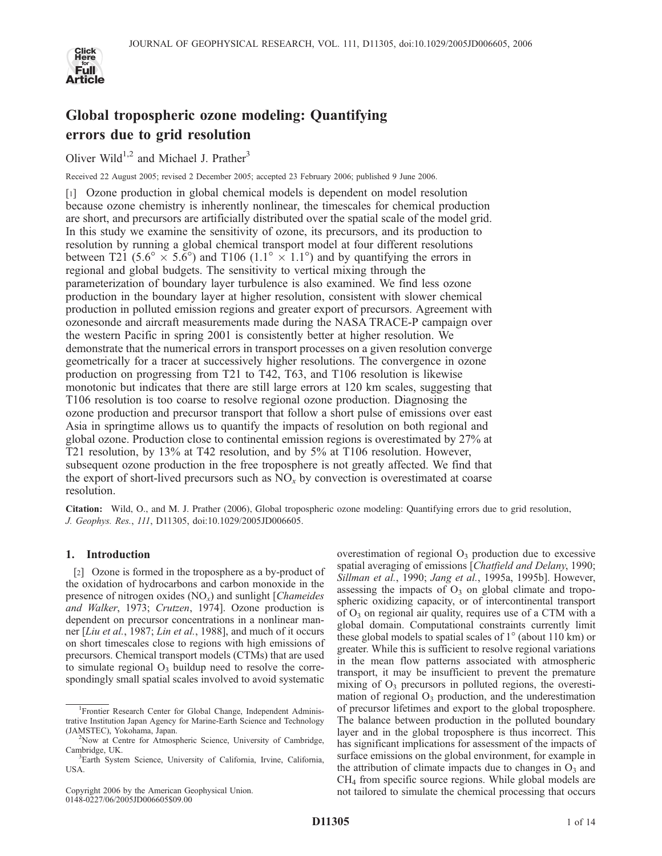

# Global tropospheric ozone modeling: Quantifying errors due to grid resolution

Oliver Wild<sup>1,2</sup> and Michael J. Prather<sup>3</sup>

Received 22 August 2005; revised 2 December 2005; accepted 23 February 2006; published 9 June 2006.

[1] Ozone production in global chemical models is dependent on model resolution because ozone chemistry is inherently nonlinear, the timescales for chemical production are short, and precursors are artificially distributed over the spatial scale of the model grid. In this study we examine the sensitivity of ozone, its precursors, and its production to resolution by running a global chemical transport model at four different resolutions between T21 (5.6°  $\times$  5.6°) and T106 (1.1°  $\times$  1.1°) and by quantifying the errors in regional and global budgets. The sensitivity to vertical mixing through the parameterization of boundary layer turbulence is also examined. We find less ozone production in the boundary layer at higher resolution, consistent with slower chemical production in polluted emission regions and greater export of precursors. Agreement with ozonesonde and aircraft measurements made during the NASA TRACE-P campaign over the western Pacific in spring 2001 is consistently better at higher resolution. We demonstrate that the numerical errors in transport processes on a given resolution converge geometrically for a tracer at successively higher resolutions. The convergence in ozone production on progressing from T21 to T42, T63, and T106 resolution is likewise monotonic but indicates that there are still large errors at 120 km scales, suggesting that T106 resolution is too coarse to resolve regional ozone production. Diagnosing the ozone production and precursor transport that follow a short pulse of emissions over east Asia in springtime allows us to quantify the impacts of resolution on both regional and global ozone. Production close to continental emission regions is overestimated by 27% at T21 resolution, by 13% at T42 resolution, and by 5% at T106 resolution. However, subsequent ozone production in the free troposphere is not greatly affected. We find that the export of short-lived precursors such as  $NO<sub>x</sub>$  by convection is overestimated at coarse resolution.

Citation: Wild, O., and M. J. Prather (2006), Global tropospheric ozone modeling: Quantifying errors due to grid resolution, J. Geophys. Res., 111, D11305, doi:10.1029/2005JD006605.

## 1. Introduction

[2] Ozone is formed in the troposphere as a by-product of the oxidation of hydrocarbons and carbon monoxide in the presence of nitrogen oxides  $(NO<sub>x</sub>)$  and sunlight [*Chameides*] and Walker, 1973; Crutzen, 1974]. Ozone production is dependent on precursor concentrations in a nonlinear manner [Liu et al., 1987; Lin et al., 1988], and much of it occurs on short timescales close to regions with high emissions of precursors. Chemical transport models (CTMs) that are used to simulate regional  $O_3$  buildup need to resolve the correspondingly small spatial scales involved to avoid systematic

Copyright 2006 by the American Geophysical Union. 0148-0227/06/2005JD006605\$09.00

overestimation of regional  $O_3$  production due to excessive spatial averaging of emissions [Chatfield and Delany, 1990; Sillman et al., 1990; Jang et al., 1995a, 1995b]. However, assessing the impacts of  $O_3$  on global climate and tropospheric oxidizing capacity, or of intercontinental transport of  $O_3$  on regional air quality, requires use of a CTM with a global domain. Computational constraints currently limit these global models to spatial scales of  $1^\circ$  (about 110 km) or greater. While this is sufficient to resolve regional variations in the mean flow patterns associated with atmospheric transport, it may be insufficient to prevent the premature mixing of  $O_3$  precursors in polluted regions, the overestimation of regional  $O_3$  production, and the underestimation of precursor lifetimes and export to the global troposphere. The balance between production in the polluted boundary layer and in the global troposphere is thus incorrect. This has significant implications for assessment of the impacts of surface emissions on the global environment, for example in the attribution of climate impacts due to changes in  $O_3$  and CH4 from specific source regions. While global models are not tailored to simulate the chemical processing that occurs

<sup>&</sup>lt;sup>1</sup> Frontier Research Center for Global Change, Independent Administrative Institution Japan Agency for Marine-Earth Science and Technology (JAMSTEC), Yokohama, Japan. <sup>2</sup>

<sup>&</sup>lt;sup>2</sup>Now at Centre for Atmospheric Science, University of Cambridge, Cambridge, UK.

<sup>&</sup>lt;sup>3</sup>Earth System Science, University of California, Irvine, California, USA.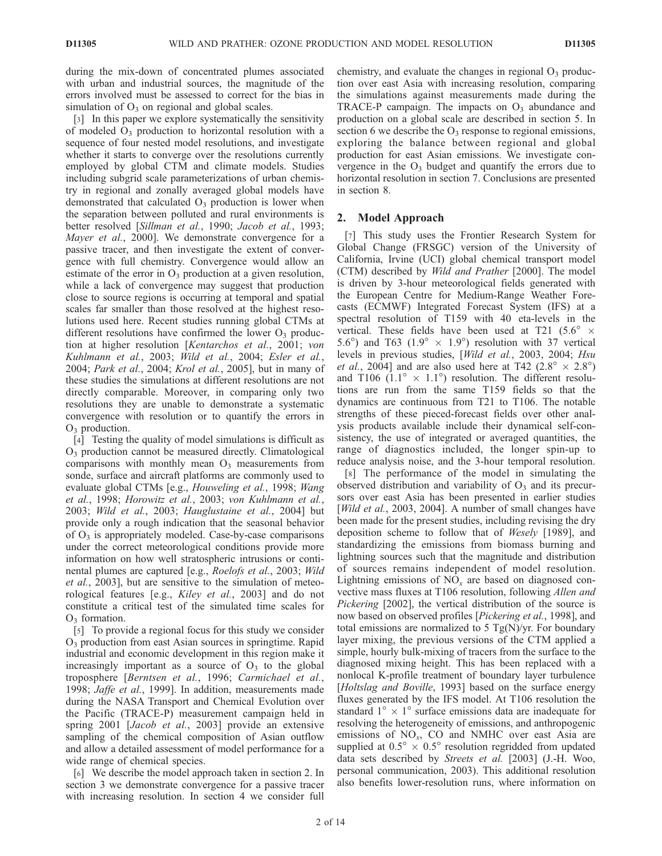during the mix-down of concentrated plumes associated with urban and industrial sources, the magnitude of the errors involved must be assessed to correct for the bias in simulation of  $O_3$  on regional and global scales.

[3] In this paper we explore systematically the sensitivity of modeled  $O_3$  production to horizontal resolution with a sequence of four nested model resolutions, and investigate whether it starts to converge over the resolutions currently employed by global CTM and climate models. Studies including subgrid scale parameterizations of urban chemistry in regional and zonally averaged global models have demonstrated that calculated  $O_3$  production is lower when the separation between polluted and rural environments is better resolved [Sillman et al., 1990; Jacob et al., 1993; Mayer et al., 2000]. We demonstrate convergence for a passive tracer, and then investigate the extent of convergence with full chemistry. Convergence would allow an estimate of the error in  $O_3$  production at a given resolution, while a lack of convergence may suggest that production close to source regions is occurring at temporal and spatial scales far smaller than those resolved at the highest resolutions used here. Recent studies running global CTMs at different resolutions have confirmed the lower  $O_3$  production at higher resolution [Kentarchos et al., 2001; von Kuhlmann et al., 2003; Wild et al., 2004; Esler et al., 2004; Park et al., 2004; Krol et al., 2005], but in many of these studies the simulations at different resolutions are not directly comparable. Moreover, in comparing only two resolutions they are unable to demonstrate a systematic convergence with resolution or to quantify the errors in  $O_3$  production.

[4] Testing the quality of model simulations is difficult as O3 production cannot be measured directly. Climatological comparisons with monthly mean  $O_3$  measurements from sonde, surface and aircraft platforms are commonly used to evaluate global CTMs [e.g., Houweling et al., 1998; Wang et al., 1998; Horowitz et al., 2003; von Kuhlmann et al., 2003; Wild et al., 2003; Hauglustaine et al., 2004] but provide only a rough indication that the seasonal behavior of  $O_3$  is appropriately modeled. Case-by-case comparisons under the correct meteorological conditions provide more information on how well stratospheric intrusions or continental plumes are captured [e.g., Roelofs et al., 2003; Wild et al., 2003], but are sensitive to the simulation of meteorological features [e.g., Kiley et al., 2003] and do not constitute a critical test of the simulated time scales for  $O<sub>3</sub>$  formation.

[5] To provide a regional focus for this study we consider O3 production from east Asian sources in springtime. Rapid industrial and economic development in this region make it increasingly important as a source of  $O_3$  to the global troposphere [Berntsen et al., 1996; Carmichael et al., 1998; Jaffe et al., 1999]. In addition, measurements made during the NASA Transport and Chemical Evolution over the Pacific (TRACE-P) measurement campaign held in spring 2001 [Jacob et al., 2003] provide an extensive sampling of the chemical composition of Asian outflow and allow a detailed assessment of model performance for a wide range of chemical species.

[6] We describe the model approach taken in section 2. In section 3 we demonstrate convergence for a passive tracer with increasing resolution. In section 4 we consider full chemistry, and evaluate the changes in regional  $O<sub>3</sub>$  production over east Asia with increasing resolution, comparing the simulations against measurements made during the TRACE-P campaign. The impacts on  $O_3$  abundance and production on a global scale are described in section 5. In section 6 we describe the  $O_3$  response to regional emissions, exploring the balance between regional and global production for east Asian emissions. We investigate convergence in the  $O_3$  budget and quantify the errors due to horizontal resolution in section 7. Conclusions are presented in section 8.

## 2. Model Approach

[7] This study uses the Frontier Research System for Global Change (FRSGC) version of the University of California, Irvine (UCI) global chemical transport model (CTM) described by Wild and Prather [2000]. The model is driven by 3-hour meteorological fields generated with the European Centre for Medium-Range Weather Forecasts (ECMWF) Integrated Forecast System (IFS) at a spectral resolution of T159 with 40 eta-levels in the vertical. These fields have been used at T21 (5.6°  $\times$ 5.6°) and T63 ( $1.9^\circ \times 1.9^\circ$ ) resolution with 37 vertical levels in previous studies, [Wild et al., 2003, 2004; Hsu *et al.*, 2004] and are also used here at T42 (2.8°  $\times$  2.8°) and T106 (1.1°  $\times$  1.1°) resolution. The different resolutions are run from the same T159 fields so that the dynamics are continuous from T21 to T106. The notable strengths of these pieced-forecast fields over other analysis products available include their dynamical self-consistency, the use of integrated or averaged quantities, the range of diagnostics included, the longer spin-up to reduce analysis noise, and the 3-hour temporal resolution.

[8] The performance of the model in simulating the observed distribution and variability of  $O_3$  and its precursors over east Asia has been presented in earlier studies [*Wild et al.*, 2003, 2004]. A number of small changes have been made for the present studies, including revising the dry deposition scheme to follow that of Wesely [1989], and standardizing the emissions from biomass burning and lightning sources such that the magnitude and distribution of sources remains independent of model resolution. Lightning emissions of  $NO<sub>x</sub>$  are based on diagnosed convective mass fluxes at T106 resolution, following Allen and Pickering [2002], the vertical distribution of the source is now based on observed profiles [*Pickering et al.*, 1998], and total emissions are normalized to 5  $Tg(N)/yr$ . For boundary layer mixing, the previous versions of the CTM applied a simple, hourly bulk-mixing of tracers from the surface to the diagnosed mixing height. This has been replaced with a nonlocal K-profile treatment of boundary layer turbulence [Holtslag and Boville, 1993] based on the surface energy fluxes generated by the IFS model. At T106 resolution the standard  $1^\circ \times 1^\circ$  surface emissions data are inadequate for resolving the heterogeneity of emissions, and anthropogenic emissions of  $NO<sub>x</sub>$ , CO and NMHC over east Asia are supplied at  $0.5^{\circ} \times 0.5^{\circ}$  resolution regridded from updated data sets described by Streets et al. [2003] (J.-H. Woo, personal communication, 2003). This additional resolution also benefits lower-resolution runs, where information on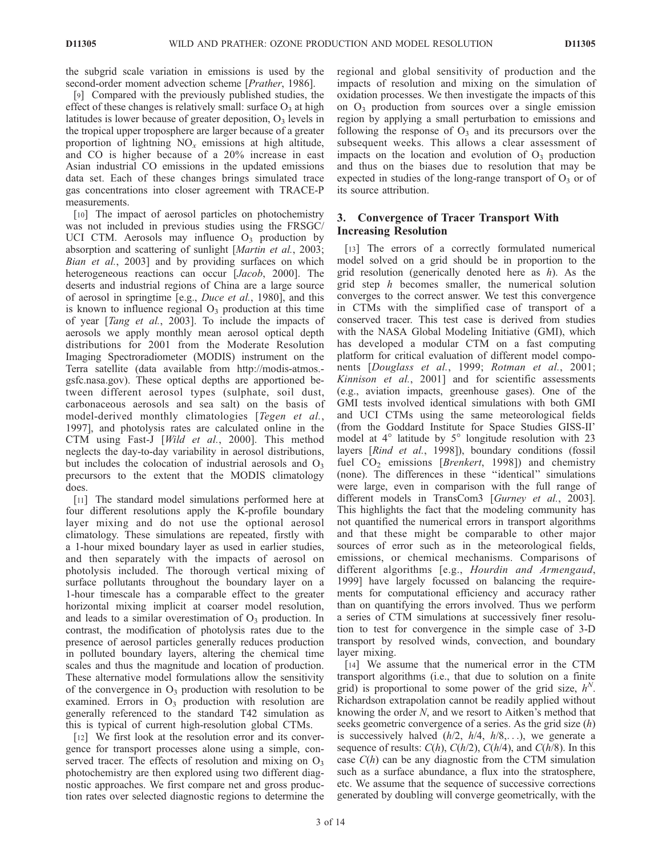the subgrid scale variation in emissions is used by the second-order moment advection scheme [*Prather*, 1986].

[9] Compared with the previously published studies, the effect of these changes is relatively small: surface  $O_3$  at high latitudes is lower because of greater deposition,  $O_3$  levels in the tropical upper troposphere are larger because of a greater proportion of lightning  $NO<sub>x</sub>$  emissions at high altitude, and CO is higher because of a 20% increase in east Asian industrial CO emissions in the updated emissions data set. Each of these changes brings simulated trace gas concentrations into closer agreement with TRACE-P measurements.

[10] The impact of aerosol particles on photochemistry was not included in previous studies using the FRSGC/ UCI CTM. Aerosols may influence  $O_3$  production by absorption and scattering of sunlight [Martin et al., 2003; Bian et al., 2003] and by providing surfaces on which heterogeneous reactions can occur [Jacob, 2000]. The deserts and industrial regions of China are a large source of aerosol in springtime [e.g., Duce et al., 1980], and this is known to influence regional  $O_3$  production at this time of year [Tang et al., 2003]. To include the impacts of aerosols we apply monthly mean aerosol optical depth distributions for 2001 from the Moderate Resolution Imaging Spectroradiometer (MODIS) instrument on the Terra satellite (data available from http://modis-atmos. gsfc.nasa.gov). These optical depths are apportioned between different aerosol types (sulphate, soil dust, carbonaceous aerosols and sea salt) on the basis of model-derived monthly climatologies [Tegen et al., 1997], and photolysis rates are calculated online in the CTM using Fast-J [Wild et al., 2000]. This method neglects the day-to-day variability in aerosol distributions, but includes the colocation of industrial aerosols and  $O<sub>3</sub>$ precursors to the extent that the MODIS climatology does.

[11] The standard model simulations performed here at four different resolutions apply the K-profile boundary layer mixing and do not use the optional aerosol climatology. These simulations are repeated, firstly with a 1-hour mixed boundary layer as used in earlier studies, and then separately with the impacts of aerosol on photolysis included. The thorough vertical mixing of surface pollutants throughout the boundary layer on a 1-hour timescale has a comparable effect to the greater horizontal mixing implicit at coarser model resolution, and leads to a similar overestimation of  $O_3$  production. In contrast, the modification of photolysis rates due to the presence of aerosol particles generally reduces production in polluted boundary layers, altering the chemical time scales and thus the magnitude and location of production. These alternative model formulations allow the sensitivity of the convergence in  $O_3$  production with resolution to be examined. Errors in  $O_3$  production with resolution are generally referenced to the standard T42 simulation as this is typical of current high-resolution global CTMs.

[12] We first look at the resolution error and its convergence for transport processes alone using a simple, conserved tracer. The effects of resolution and mixing on  $O_3$ photochemistry are then explored using two different diagnostic approaches. We first compare net and gross production rates over selected diagnostic regions to determine the regional and global sensitivity of production and the impacts of resolution and mixing on the simulation of oxidation processes. We then investigate the impacts of this on  $O_3$  production from sources over a single emission region by applying a small perturbation to emissions and following the response of  $O_3$  and its precursors over the subsequent weeks. This allows a clear assessment of impacts on the location and evolution of  $O<sub>3</sub>$  production and thus on the biases due to resolution that may be expected in studies of the long-range transport of  $O_3$  or of its source attribution.

## 3. Convergence of Tracer Transport With Increasing Resolution

[13] The errors of a correctly formulated numerical model solved on a grid should be in proportion to the grid resolution (generically denoted here as  $h$ ). As the grid step  $h$  becomes smaller, the numerical solution converges to the correct answer. We test this convergence in CTMs with the simplified case of transport of a conserved tracer. This test case is derived from studies with the NASA Global Modeling Initiative (GMI), which has developed a modular CTM on a fast computing platform for critical evaluation of different model components [Douglass et al., 1999; Rotman et al., 2001; Kinnison et al., 2001] and for scientific assessments (e.g., aviation impacts, greenhouse gases). One of the GMI tests involved identical simulations with both GMI and UCI CTMs using the same meteorological fields (from the Goddard Institute for Space Studies GISS-II' model at  $4^\circ$  latitude by  $5^\circ$  longitude resolution with 23 layers [Rind et al., 1998]), boundary conditions (fossil fuel  $CO<sub>2</sub>$  emissions [Brenkert, 1998]) and chemistry (none). The differences in these ''identical'' simulations were large, even in comparison with the full range of different models in TransCom3 [Gurney et al., 2003]. This highlights the fact that the modeling community has not quantified the numerical errors in transport algorithms and that these might be comparable to other major sources of error such as in the meteorological fields, emissions, or chemical mechanisms. Comparisons of different algorithms [e.g., *Hourdin and Armengaud*, 1999] have largely focussed on balancing the requirements for computational efficiency and accuracy rather than on quantifying the errors involved. Thus we perform a series of CTM simulations at successively finer resolution to test for convergence in the simple case of 3-D transport by resolved winds, convection, and boundary layer mixing.

[14] We assume that the numerical error in the CTM transport algorithms (i.e., that due to solution on a finite grid) is proportional to some power of the grid size,  $h^N$ . Richardson extrapolation cannot be readily applied without knowing the order N, and we resort to Aitken's method that seeks geometric convergence of a series. As the grid size  $(h)$ is successively halved  $(h/2, h/4, h/8,...)$ , we generate a sequence of results:  $C(h)$ ,  $C(h/2)$ ,  $C(h/4)$ , and  $C(h/8)$ . In this case  $C(h)$  can be any diagnostic from the CTM simulation such as a surface abundance, a flux into the stratosphere, etc. We assume that the sequence of successive corrections generated by doubling will converge geometrically, with the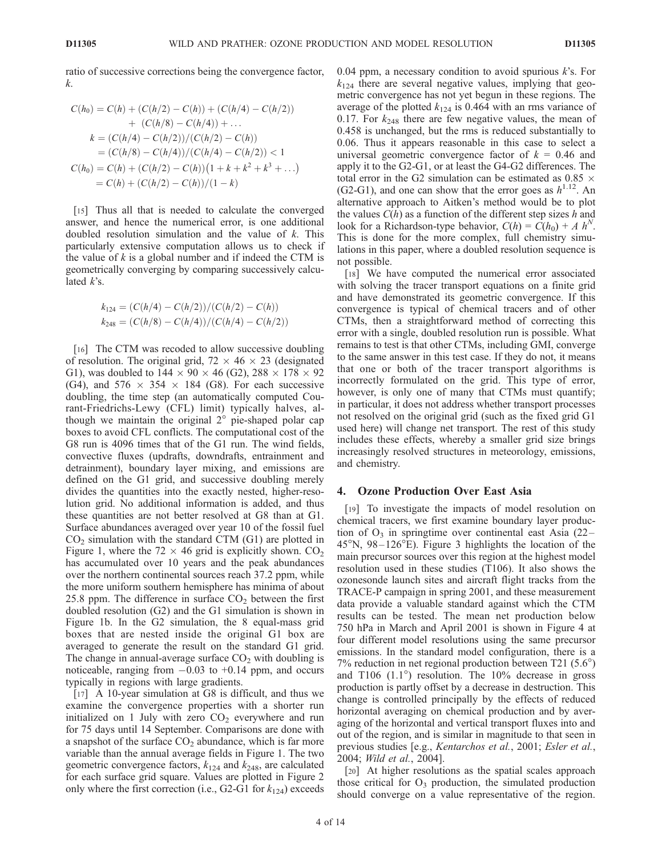ratio of successive corrections being the convergence factor, k.

$$
C(h_0) = C(h) + (C(h/2) - C(h)) + (C(h/4) - C(h/2))
$$
  
+ 
$$
(C(h/8) - C(h/4)) + \dots
$$
  

$$
k = (C(h/4) - C(h/2))/(C(h/2) - C(h))
$$
  
= 
$$
(C(h/8) - C(h/4))/(C(h/4) - C(h/2)) < 1
$$
  

$$
C(h_0) = C(h) + (C(h/2) - C(h))(1 + k + k^2 + k^3 + \dots)
$$
  
= 
$$
C(h) + (C(h/2) - C(h))/(1 - k)
$$

[15] Thus all that is needed to calculate the converged answer, and hence the numerical error, is one additional doubled resolution simulation and the value of  $k$ . This particularly extensive computation allows us to check if the value of  $k$  is a global number and if indeed the CTM is geometrically converging by comparing successively calculated  $k$ 's.

$$
k_{124} = (C(h/4) - C(h/2))/(C(h/2) - C(h))
$$
  

$$
k_{248} = (C(h/8) - C(h/4))/(C(h/4) - C(h/2))
$$

[16] The CTM was recoded to allow successive doubling of resolution. The original grid,  $72 \times 46 \times 23$  (designated G1), was doubled to  $144 \times 90 \times 46$  (G2),  $288 \times 178 \times 92$ (G4), and  $576 \times 354 \times 184$  (G8). For each successive doubling, the time step (an automatically computed Courant-Friedrichs-Lewy (CFL) limit) typically halves, although we maintain the original  $2^\circ$  pie-shaped polar cap boxes to avoid CFL conflicts. The computational cost of the G8 run is 4096 times that of the G1 run. The wind fields, convective fluxes (updrafts, downdrafts, entrainment and detrainment), boundary layer mixing, and emissions are defined on the G1 grid, and successive doubling merely divides the quantities into the exactly nested, higher-resolution grid. No additional information is added, and thus these quantities are not better resolved at G8 than at G1. Surface abundances averaged over year 10 of the fossil fuel  $CO<sub>2</sub>$  simulation with the standard CTM (G1) are plotted in Figure 1, where the 72  $\times$  46 grid is explicitly shown. CO<sub>2</sub> has accumulated over 10 years and the peak abundances over the northern continental sources reach 37.2 ppm, while the more uniform southern hemisphere has minima of about 25.8 ppm. The difference in surface  $CO<sub>2</sub>$  between the first doubled resolution (G2) and the G1 simulation is shown in Figure 1b. In the G2 simulation, the 8 equal-mass grid boxes that are nested inside the original G1 box are averaged to generate the result on the standard G1 grid. The change in annual-average surface  $CO<sub>2</sub>$  with doubling is noticeable, ranging from  $-0.03$  to  $+0.14$  ppm, and occurs typically in regions with large gradients.

[17] A 10-year simulation at G8 is difficult, and thus we examine the convergence properties with a shorter run initialized on 1 July with zero  $CO<sub>2</sub>$  everywhere and run for 75 days until 14 September. Comparisons are done with a snapshot of the surface  $CO<sub>2</sub>$  abundance, which is far more variable than the annual average fields in Figure 1. The two geometric convergence factors,  $k_{124}$  and  $k_{248}$ , are calculated for each surface grid square. Values are plotted in Figure 2 only where the first correction (i.e., G2-G1 for  $k_{124}$ ) exceeds

0.04 ppm, a necessary condition to avoid spurious  $k$ 's. For  $k_{124}$  there are several negative values, implying that geometric convergence has not yet begun in these regions. The average of the plotted  $k_{124}$  is 0.464 with an rms variance of 0.17. For  $k_{248}$  there are few negative values, the mean of 0.458 is unchanged, but the rms is reduced substantially to 0.06. Thus it appears reasonable in this case to select a universal geometric convergence factor of  $k = 0.46$  and apply it to the G2-G1, or at least the G4-G2 differences. The total error in the G2 simulation can be estimated as  $0.85 \times$ (G2-G1), and one can show that the error goes as  $h^{1.12}$ . An alternative approach to Aitken's method would be to plot the values  $C(h)$  as a function of the different step sizes h and look for a Richardson-type behavior,  $C(h) = C(h_0) + A h^N$ . This is done for the more complex, full chemistry simulations in this paper, where a doubled resolution sequence is not possible.

[18] We have computed the numerical error associated with solving the tracer transport equations on a finite grid and have demonstrated its geometric convergence. If this convergence is typical of chemical tracers and of other CTMs, then a straightforward method of correcting this error with a single, doubled resolution run is possible. What remains to test is that other CTMs, including GMI, converge to the same answer in this test case. If they do not, it means that one or both of the tracer transport algorithms is incorrectly formulated on the grid. This type of error, however, is only one of many that CTMs must quantify; in particular, it does not address whether transport processes not resolved on the original grid (such as the fixed grid G1 used here) will change net transport. The rest of this study includes these effects, whereby a smaller grid size brings increasingly resolved structures in meteorology, emissions, and chemistry.

#### 4. Ozone Production Over East Asia

[19] To investigate the impacts of model resolution on chemical tracers, we first examine boundary layer production of  $O_3$  in springtime over continental east Asia (22–  $45^{\circ}$ N,  $98-126^{\circ}$ E). Figure 3 highlights the location of the main precursor sources over this region at the highest model resolution used in these studies (T106). It also shows the ozonesonde launch sites and aircraft flight tracks from the TRACE-P campaign in spring 2001, and these measurement data provide a valuable standard against which the CTM results can be tested. The mean net production below 750 hPa in March and April 2001 is shown in Figure 4 at four different model resolutions using the same precursor emissions. In the standard model configuration, there is a 7% reduction in net regional production between  $T21 (5.6^{\circ})$ and T106  $(1.1^{\circ})$  resolution. The 10% decrease in gross production is partly offset by a decrease in destruction. This change is controlled principally by the effects of reduced horizontal averaging on chemical production and by averaging of the horizontal and vertical transport fluxes into and out of the region, and is similar in magnitude to that seen in previous studies [e.g., Kentarchos et al., 2001; Esler et al., 2004; Wild et al., 2004].

[20] At higher resolutions as the spatial scales approach those critical for  $O_3$  production, the simulated production should converge on a value representative of the region.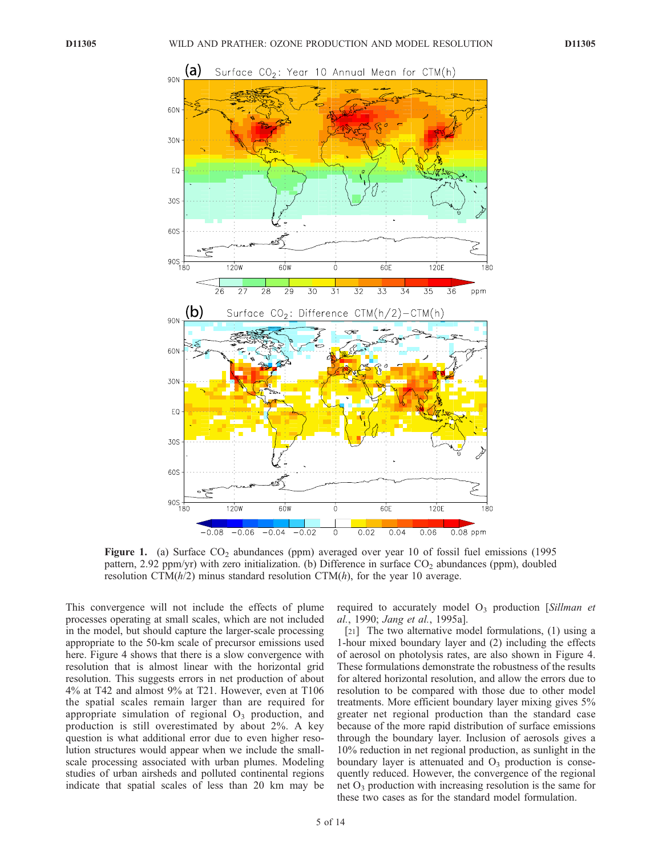

Figure 1. (a) Surface  $CO<sub>2</sub>$  abundances (ppm) averaged over year 10 of fossil fuel emissions (1995 pattern, 2.92 ppm/yr) with zero initialization. (b) Difference in surface  $CO_2$  abundances (ppm), doubled resolution CTM $(h/2)$  minus standard resolution CTM $(h)$ , for the year 10 average.

This convergence will not include the effects of plume processes operating at small scales, which are not included in the model, but should capture the larger-scale processing appropriate to the 50-km scale of precursor emissions used here. Figure 4 shows that there is a slow convergence with resolution that is almost linear with the horizontal grid resolution. This suggests errors in net production of about 4% at T42 and almost 9% at T21. However, even at T106 the spatial scales remain larger than are required for appropriate simulation of regional  $O<sub>3</sub>$  production, and production is still overestimated by about 2%. A key question is what additional error due to even higher resolution structures would appear when we include the smallscale processing associated with urban plumes. Modeling studies of urban airsheds and polluted continental regions indicate that spatial scales of less than 20 km may be required to accurately model  $O_3$  production [Sillman et al., 1990; Jang et al., 1995a].

[21] The two alternative model formulations, (1) using a 1-hour mixed boundary layer and (2) including the effects of aerosol on photolysis rates, are also shown in Figure 4. These formulations demonstrate the robustness of the results for altered horizontal resolution, and allow the errors due to resolution to be compared with those due to other model treatments. More efficient boundary layer mixing gives 5% greater net regional production than the standard case because of the more rapid distribution of surface emissions through the boundary layer. Inclusion of aerosols gives a 10% reduction in net regional production, as sunlight in the boundary layer is attenuated and  $O<sub>3</sub>$  production is consequently reduced. However, the convergence of the regional net  $O_3$  production with increasing resolution is the same for these two cases as for the standard model formulation.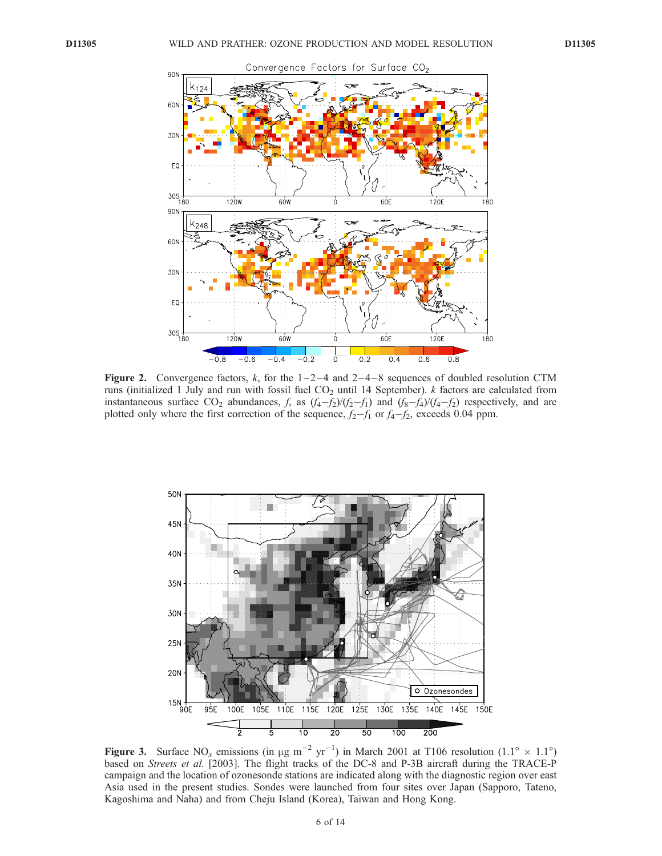

Figure 2. Convergence factors, k, for the  $1-2-4$  and  $2-4-8$  sequences of doubled resolution CTM runs (initialized 1 July and run with fossil fuel  $CO<sub>2</sub>$  until 14 September). *k* factors are calculated from instantaneous surface  $CO_2$  abundances, f, as  $(f_4-f_2)/(f_2-f_1)$  and  $(f_8-f_4)/(f_4-f_2)$  respectively, and are plotted only where the first correction of the sequence,  $f_2-f_1$  or  $f_4-f_2$ , exceeds 0.04 ppm.



Figure 3. Surface NO<sub>x</sub> emissions (in  $\mu$ g m<sup>-2</sup> yr<sup>-1</sup>) in March 2001 at T106 resolution (1.1° × 1.1°) based on *Streets et al.* [2003]. The flight tracks of the DC-8 and P-3B aircraft during the TRACE-P campaign and the location of ozonesonde stations are indicated along with the diagnostic region over east Asia used in the present studies. Sondes were launched from four sites over Japan (Sapporo, Tateno, Kagoshima and Naha) and from Cheju Island (Korea), Taiwan and Hong Kong.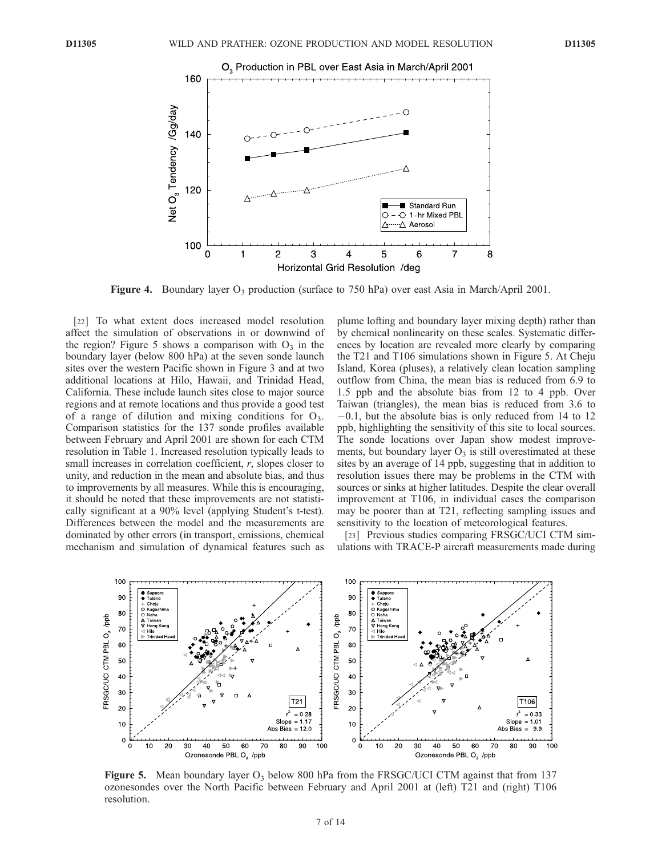

**Figure 4.** Boundary layer  $O_3$  production (surface to 750 hPa) over east Asia in March/April 2001.

[22] To what extent does increased model resolution affect the simulation of observations in or downwind of the region? Figure 5 shows a comparison with  $O_3$  in the boundary layer (below 800 hPa) at the seven sonde launch sites over the western Pacific shown in Figure 3 and at two additional locations at Hilo, Hawaii, and Trinidad Head, California. These include launch sites close to major source regions and at remote locations and thus provide a good test of a range of dilution and mixing conditions for  $O_3$ . Comparison statistics for the 137 sonde profiles available between February and April 2001 are shown for each CTM resolution in Table 1. Increased resolution typically leads to small increases in correlation coefficient, r, slopes closer to unity, and reduction in the mean and absolute bias, and thus to improvements by all measures. While this is encouraging, it should be noted that these improvements are not statistically significant at a 90% level (applying Student's t-test). Differences between the model and the measurements are dominated by other errors (in transport, emissions, chemical mechanism and simulation of dynamical features such as

plume lofting and boundary layer mixing depth) rather than by chemical nonlinearity on these scales. Systematic differences by location are revealed more clearly by comparing the T21 and T106 simulations shown in Figure 5. At Cheju Island, Korea (pluses), a relatively clean location sampling outflow from China, the mean bias is reduced from 6.9 to 1.5 ppb and the absolute bias from 12 to 4 ppb. Over Taiwan (triangles), the mean bias is reduced from 3.6 to  $-0.1$ , but the absolute bias is only reduced from 14 to 12 ppb, highlighting the sensitivity of this site to local sources. The sonde locations over Japan show modest improvements, but boundary layer  $O_3$  is still overestimated at these sites by an average of 14 ppb, suggesting that in addition to resolution issues there may be problems in the CTM with sources or sinks at higher latitudes. Despite the clear overall improvement at T106, in individual cases the comparison may be poorer than at T21, reflecting sampling issues and sensitivity to the location of meteorological features.

[23] Previous studies comparing FRSGC/UCI CTM simulations with TRACE-P aircraft measurements made during



**Figure 5.** Mean boundary layer  $O_3$  below 800 hPa from the FRSGC/UCI CTM against that from 137 ozonesondes over the North Pacific between February and April 2001 at (left) T21 and (right) T106 resolution.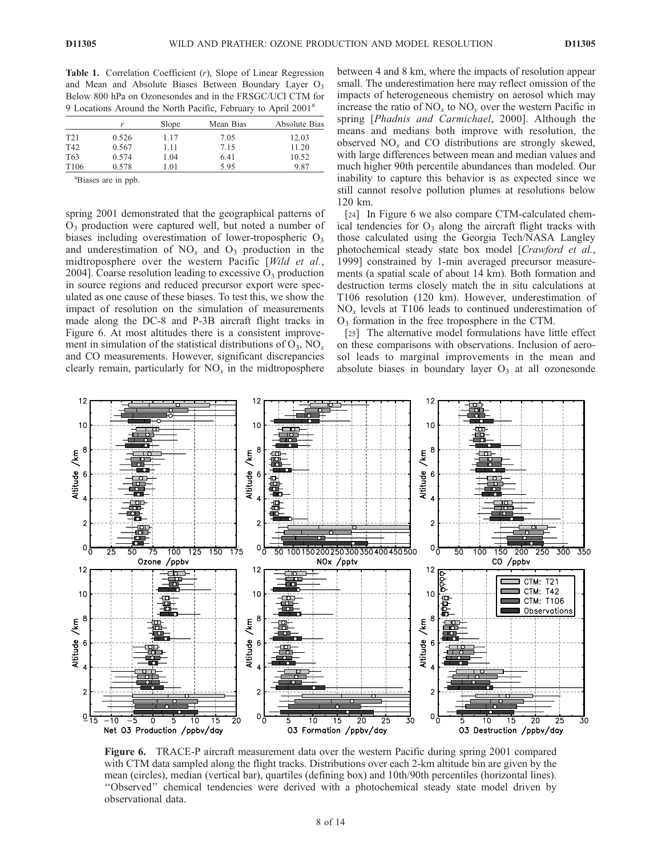Table 1. Correlation Coefficient  $(r)$ , Slope of Linear Regression and Mean and Absolute Biases Between Boundary Layer O<sub>3</sub> Below 800 hPa on Ozonesondes and in the FRSGC/UCI CTM for 9 Locations Around the North Pacific, February to April 2001<sup>a</sup>

|                  | r     | Slope | Mean Bias | Absolute Bias |
|------------------|-------|-------|-----------|---------------|
| T <sub>21</sub>  | 0.526 | 1.17  | 7.05      | 12.03         |
| T42              | 0.567 | 1.11  | 7.15      | 11.20         |
| T <sub>63</sub>  | 0.574 | 1.04  | 6.41      | 10.52         |
| T <sub>106</sub> | 0.578 | 0.01  | 5.95      | 9.87          |

a Biases are in ppb.

spring 2001 demonstrated that the geographical patterns of  $O<sub>3</sub>$  production were captured well, but noted a number of biases including overestimation of lower-tropospheric  $O_3$ and underestimation of  $NO<sub>x</sub>$  and  $O<sub>3</sub>$  production in the midtroposphere over the western Pacific [Wild et al., 2004]. Coarse resolution leading to excessive  $O_3$  production in source regions and reduced precursor export were speculated as one cause of these biases. To test this, we show the impact of resolution on the simulation of measurements made along the DC-8 and P-3B aircraft flight tracks in Figure 6. At most altitudes there is a consistent improvement in simulation of the statistical distributions of  $O_3$ ,  $NO<sub>x</sub>$ and CO measurements. However, significant discrepancies clearly remain, particularly for  $NO<sub>x</sub>$  in the midtroposphere

between 4 and 8 km, where the impacts of resolution appear small. The underestimation here may reflect omission of the impacts of heterogeneous chemistry on aerosol which may increase the ratio of  $NO_x$  to  $NO_y$  over the western Pacific in spring [Phadnis and Carmichael, 2000]. Although the means and medians both improve with resolution, the observed  $NO<sub>x</sub>$  and CO distributions are strongly skewed, with large differences between mean and median values and much higher 90th percentile abundances than modeled. Our inability to capture this behavior is as expected since we still cannot resolve pollution plumes at resolutions below 120 km.

[24] In Figure 6 we also compare CTM-calculated chemical tendencies for  $O_3$  along the aircraft flight tracks with those calculated using the Georgia Tech/NASA Langley photochemical steady state box model [Crawford et al., 1999] constrained by 1-min averaged precursor measurements (a spatial scale of about 14 km). Both formation and destruction terms closely match the in situ calculations at T106 resolution (120 km). However, underestimation of  $NO<sub>x</sub>$  levels at T106 leads to continued underestimation of O3 formation in the free troposphere in the CTM.

[25] The alternative model formulations have little effect on these comparisons with observations. Inclusion of aerosol leads to marginal improvements in the mean and absolute biases in boundary layer  $O<sub>3</sub>$  at all ozonesonde



Figure 6. TRACE-P aircraft measurement data over the western Pacific during spring 2001 compared with CTM data sampled along the flight tracks. Distributions over each 2-km altitude bin are given by the mean (circles), median (vertical bar), quartiles (defining box) and 10th/90th percentiles (horizontal lines). ''Observed'' chemical tendencies were derived with a photochemical steady state model driven by observational data.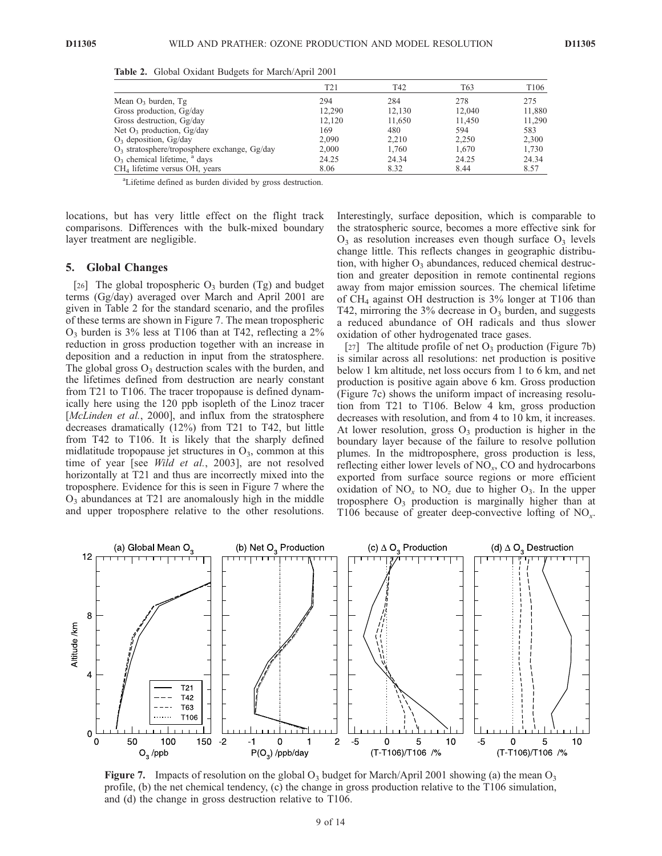|                                                   | T <sub>21</sub> | T42    | T63    | T <sub>106</sub> |
|---------------------------------------------------|-----------------|--------|--------|------------------|
| Mean $O_3$ burden, Tg                             | 294             | 284    | 278    | 275              |
| Gross production, Gg/day                          | 12.290          | 12,130 | 12,040 | 11,880           |
| Gross destruction, Gg/day                         | 12.120          | 11.650 | 11.450 | 11,290           |
| Net $O_3$ production, $Gg/day$                    | 169             | 480    | 594    | 583              |
| $O_3$ deposition, $Gg/day$                        | 2.090           | 2.210  | 2.250  | 2.300            |
| $O_3$ stratosphere/troposphere exchange, $Gg/day$ | 2,000           | 1.760  | 1.670  | 1.730            |
| $O_3$ chemical lifetime, $a$ days                 | 24.25           | 24.34  | 24.25  | 24.34            |
| CH <sub>4</sub> lifetime versus OH, years         | 8.06            | 8.32   | 8.44   | 8.57             |

Table 2. Global Oxidant Budgets for March/April 2001

<sup>a</sup>Lifetime defined as burden divided by gross destruction.

locations, but has very little effect on the flight track comparisons. Differences with the bulk-mixed boundary layer treatment are negligible.

### 5. Global Changes

[26] The global tropospheric  $O_3$  burden (Tg) and budget terms (Gg/day) averaged over March and April 2001 are given in Table 2 for the standard scenario, and the profiles of these terms are shown in Figure 7. The mean tropospheric  $O_3$  burden is 3% less at T106 than at T42, reflecting a 2% reduction in gross production together with an increase in deposition and a reduction in input from the stratosphere. The global gross  $O_3$  destruction scales with the burden, and the lifetimes defined from destruction are nearly constant from T21 to T106. The tracer tropopause is defined dynamically here using the 120 ppb isopleth of the Linoz tracer [McLinden et al., 2000], and influx from the stratosphere decreases dramatically (12%) from T21 to T42, but little from T42 to T106. It is likely that the sharply defined midlatitude tropopause jet structures in  $O<sub>3</sub>$ , common at this time of year [see Wild et al., 2003], are not resolved horizontally at T21 and thus are incorrectly mixed into the troposphere. Evidence for this is seen in Figure 7 where the  $O<sub>3</sub>$  abundances at T21 are anomalously high in the middle and upper troposphere relative to the other resolutions. Interestingly, surface deposition, which is comparable to the stratospheric source, becomes a more effective sink for  $O_3$  as resolution increases even though surface  $O_3$  levels change little. This reflects changes in geographic distribution, with higher  $O_3$  abundances, reduced chemical destruction and greater deposition in remote continental regions away from major emission sources. The chemical lifetime of  $CH<sub>4</sub>$  against OH destruction is 3% longer at T106 than T42, mirroring the  $3\%$  decrease in  $O_3$  burden, and suggests a reduced abundance of OH radicals and thus slower oxidation of other hydrogenated trace gases.

[27] The altitude profile of net  $O_3$  production (Figure 7b) is similar across all resolutions: net production is positive below 1 km altitude, net loss occurs from 1 to 6 km, and net production is positive again above 6 km. Gross production (Figure 7c) shows the uniform impact of increasing resolution from T21 to T106. Below 4 km, gross production decreases with resolution, and from 4 to 10 km, it increases. At lower resolution, gross  $O_3$  production is higher in the boundary layer because of the failure to resolve pollution plumes. In the midtroposphere, gross production is less, reflecting either lower levels of  $NO<sub>x</sub>$ , CO and hydrocarbons exported from surface source regions or more efficient oxidation of  $NO<sub>x</sub>$  to  $NO<sub>z</sub>$  due to higher  $O<sub>3</sub>$ . In the upper troposphere  $O_3$  production is marginally higher than at T106 because of greater deep-convective lofting of  $NO<sub>x</sub>$ .



**Figure 7.** Impacts of resolution on the global  $O_3$  budget for March/April 2001 showing (a) the mean  $O_3$ profile, (b) the net chemical tendency, (c) the change in gross production relative to the T106 simulation, and (d) the change in gross destruction relative to T106.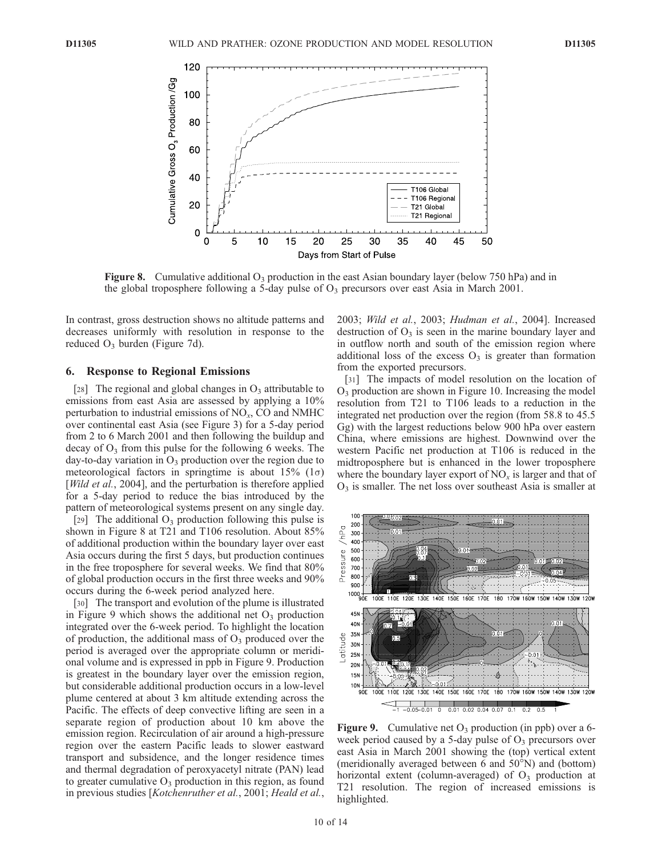

**Figure 8.** Cumulative additional  $O_3$  production in the east Asian boundary layer (below 750 hPa) and in the global troposphere following a 5-day pulse of  $O_3$  precursors over east Asia in March 2001.

In contrast, gross destruction shows no altitude patterns and decreases uniformly with resolution in response to the reduced  $O_3$  burden (Figure 7d).

#### 6. Response to Regional Emissions

[28] The regional and global changes in  $O_3$  attributable to emissions from east Asia are assessed by applying a 10% perturbation to industrial emissions of  $NO<sub>x</sub>$ , CO and NMHC over continental east Asia (see Figure 3) for a 5-day period from 2 to 6 March 2001 and then following the buildup and decay of  $O_3$  from this pulse for the following 6 weeks. The day-to-day variation in  $O_3$  production over the region due to meteorological factors in springtime is about  $15\%$  ( $1\sigma$ ) [Wild et  $a\overline{l}$ , 2004], and the perturbation is therefore applied for a 5-day period to reduce the bias introduced by the pattern of meteorological systems present on any single day.

[29] The additional  $O_3$  production following this pulse is shown in Figure 8 at T21 and T106 resolution. About 85% of additional production within the boundary layer over east Asia occurs during the first 5 days, but production continues in the free troposphere for several weeks. We find that 80% of global production occurs in the first three weeks and 90% occurs during the 6-week period analyzed here.

[30] The transport and evolution of the plume is illustrated in Figure 9 which shows the additional net  $O_3$  production integrated over the 6-week period. To highlight the location of production, the additional mass of  $O_3$  produced over the period is averaged over the appropriate column or meridional volume and is expressed in ppb in Figure 9. Production is greatest in the boundary layer over the emission region, but considerable additional production occurs in a low-level plume centered at about 3 km altitude extending across the Pacific. The effects of deep convective lifting are seen in a separate region of production about 10 km above the emission region. Recirculation of air around a high-pressure region over the eastern Pacific leads to slower eastward transport and subsidence, and the longer residence times and thermal degradation of peroxyacetyl nitrate (PAN) lead to greater cumulative  $O_3$  production in this region, as found in previous studies [Kotchenruther et al., 2001; Heald et al.,

2003; Wild et al., 2003; Hudman et al., 2004]. Increased destruction of  $O_3$  is seen in the marine boundary layer and in outflow north and south of the emission region where additional loss of the excess  $O_3$  is greater than formation from the exported precursors.

[31] The impacts of model resolution on the location of O3 production are shown in Figure 10. Increasing the model resolution from T21 to T106 leads to a reduction in the integrated net production over the region (from 58.8 to 45.5 Gg) with the largest reductions below 900 hPa over eastern China, where emissions are highest. Downwind over the western Pacific net production at T106 is reduced in the midtroposphere but is enhanced in the lower troposphere where the boundary layer export of  $NO<sub>x</sub>$  is larger and that of  $O<sub>3</sub>$  is smaller. The net loss over southeast Asia is smaller at



Figure 9. Cumulative net  $O_3$  production (in ppb) over a 6week period caused by a 5-day pulse of  $O_3$  precursors over east Asia in March 2001 showing the (top) vertical extent (meridionally averaged between 6 and  $50^{\circ}$ N) and (bottom) horizontal extent (column-averaged) of  $O_3$  production at T21 resolution. The region of increased emissions is highlighted.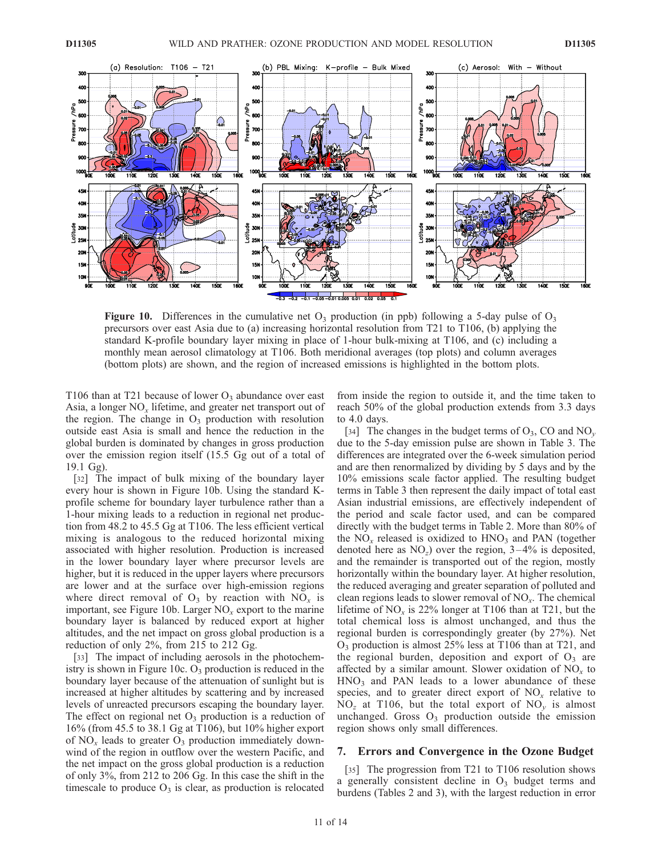

**Figure 10.** Differences in the cumulative net  $O_3$  production (in ppb) following a 5-day pulse of  $O_3$ precursors over east Asia due to (a) increasing horizontal resolution from T21 to T106, (b) applying the standard K-profile boundary layer mixing in place of 1-hour bulk-mixing at T106, and (c) including a monthly mean aerosol climatology at T106. Both meridional averages (top plots) and column averages (bottom plots) are shown, and the region of increased emissions is highlighted in the bottom plots.

T106 than at T21 because of lower  $O_3$  abundance over east Asia, a longer  $NO<sub>x</sub>$  lifetime, and greater net transport out of the region. The change in  $O_3$  production with resolution outside east Asia is small and hence the reduction in the global burden is dominated by changes in gross production over the emission region itself (15.5 Gg out of a total of 19.1 Gg).

[32] The impact of bulk mixing of the boundary layer every hour is shown in Figure 10b. Using the standard Kprofile scheme for boundary layer turbulence rather than a 1-hour mixing leads to a reduction in regional net production from 48.2 to 45.5 Gg at T106. The less efficient vertical mixing is analogous to the reduced horizontal mixing associated with higher resolution. Production is increased in the lower boundary layer where precursor levels are higher, but it is reduced in the upper layers where precursors are lower and at the surface over high-emission regions where direct removal of  $O_3$  by reaction with  $NO_x$  is important, see Figure 10b. Larger  $NO<sub>x</sub>$  export to the marine boundary layer is balanced by reduced export at higher altitudes, and the net impact on gross global production is a reduction of only 2%, from 215 to 212 Gg.

[33] The impact of including aerosols in the photochemistry is shown in Figure 10c.  $O_3$  production is reduced in the boundary layer because of the attenuation of sunlight but is increased at higher altitudes by scattering and by increased levels of unreacted precursors escaping the boundary layer. The effect on regional net  $O_3$  production is a reduction of 16% (from 45.5 to 38.1 Gg at T106), but 10% higher export of  $NO<sub>x</sub>$  leads to greater  $O<sub>3</sub>$  production immediately downwind of the region in outflow over the western Pacific, and the net impact on the gross global production is a reduction of only 3%, from 212 to 206 Gg. In this case the shift in the timescale to produce  $O_3$  is clear, as production is relocated

from inside the region to outside it, and the time taken to reach 50% of the global production extends from 3.3 days to 4.0 days.

[34] The changes in the budget terms of  $O_3$ , CO and NO<sub>v</sub> due to the 5-day emission pulse are shown in Table 3. The differences are integrated over the 6-week simulation period and are then renormalized by dividing by 5 days and by the 10% emissions scale factor applied. The resulting budget terms in Table 3 then represent the daily impact of total east Asian industrial emissions, are effectively independent of the period and scale factor used, and can be compared directly with the budget terms in Table 2. More than 80% of the  $NO<sub>x</sub>$  released is oxidized to  $HNO<sub>3</sub>$  and PAN (together denoted here as  $NO<sub>z</sub>$ ) over the region, 3–4% is deposited, and the remainder is transported out of the region, mostly horizontally within the boundary layer. At higher resolution, the reduced averaging and greater separation of polluted and clean regions leads to slower removal of  $NO<sub>x</sub>$ . The chemical lifetime of  $NO<sub>x</sub>$  is 22% longer at T106 than at T21, but the total chemical loss is almost unchanged, and thus the regional burden is correspondingly greater (by 27%). Net  $O_3$  production is almost 25% less at T106 than at T21, and the regional burden, deposition and export of  $O_3$  are affected by a similar amount. Slower oxidation of  $NO<sub>x</sub>$  to  $HNO<sub>3</sub>$  and PAN leads to a lower abundance of these species, and to greater direct export of  $NO<sub>x</sub>$  relative to  $NO<sub>z</sub>$  at T106, but the total export of  $NO<sub>v</sub>$  is almost unchanged. Gross  $O_3$  production outside the emission region shows only small differences.

### 7. Errors and Convergence in the Ozone Budget

[35] The progression from T21 to T106 resolution shows a generally consistent decline in  $O_3$  budget terms and burdens (Tables 2 and 3), with the largest reduction in error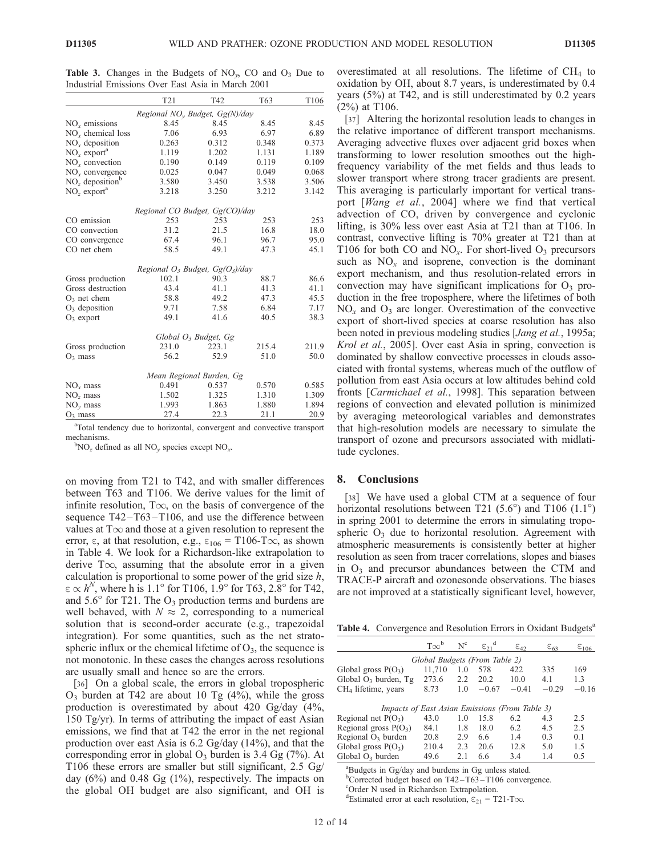**Table 3.** Changes in the Budgets of  $NO<sub>v</sub>$ , CO and  $O<sub>3</sub>$  Due to Industrial Emissions Over East Asia in March 2001

|                                      | T <sub>21</sub>                    | T42   | T63   | T106  |  |  |  |
|--------------------------------------|------------------------------------|-------|-------|-------|--|--|--|
|                                      | Regional $NOv$ Budget, $Gg(N)/day$ |       |       |       |  |  |  |
| NO <sub>x</sub> emissions            | 8.45                               | 8.45  | 8.45  | 8.45  |  |  |  |
| NO <sub>r</sub> chemical loss        | 7.06                               | 6.93  | 6.97  | 6.89  |  |  |  |
| $NOx$ deposition                     | 0.263                              | 0.312 | 0.348 | 0.373 |  |  |  |
| $NOr$ export <sup>a</sup>            | 1.119                              | 1.202 | 1.131 | 1.189 |  |  |  |
| $NOx$ convection                     | 0.190                              | 0.149 | 0.119 | 0.109 |  |  |  |
| $NOx$ convergence                    | 0.025                              | 0.047 | 0.049 | 0.068 |  |  |  |
| $NOz$ deposition <sup>b</sup>        | 3.580                              | 3.450 | 3.538 | 3.506 |  |  |  |
| $NOz$ export <sup>a</sup>            | 3.218                              | 3.250 | 3.212 | 3.142 |  |  |  |
| Regional CO Budget, Gg(CO)/day       |                                    |       |       |       |  |  |  |
| CO emission                          | 253                                | 253   | 253   | 253   |  |  |  |
| CO convection                        | 31.2                               | 21.5  | 16.8  | 18.0  |  |  |  |
| CO convergence                       | 67.4                               | 96.1  | 96.7  | 95.0  |  |  |  |
| CO net chem                          | 58.5                               | 49.1  | 47.3  | 45.1  |  |  |  |
| Regional $O_3$ Budget, $Gg(O_3)/day$ |                                    |       |       |       |  |  |  |
| Gross production                     | 102.1                              | 90.3  | 88.7  | 86.6  |  |  |  |
| Gross destruction                    | 43.4                               | 41.1  | 41.3  | 41.1  |  |  |  |
| $O_3$ net chem                       | 58.8                               | 49.2  | 47.3  | 45.5  |  |  |  |
| $O_3$ deposition                     | 9.71                               | 7.58  | 6.84  | 7.17  |  |  |  |
| $O_3$ export                         | 49.1                               | 41.6  | 40.5  | 38.3  |  |  |  |
| Global O <sub>3</sub> Budget, Gg     |                                    |       |       |       |  |  |  |
| Gross production                     | 231.0                              | 223.1 | 215.4 | 211.9 |  |  |  |
| $O_3$ mass                           | 56.2                               | 52.9  | 51.0  | 50.0  |  |  |  |
| Mean Regional Burden, Gg             |                                    |       |       |       |  |  |  |
| $NOx$ mass                           | 0.491                              | 0.537 | 0.570 | 0.585 |  |  |  |
| $NOz$ mass                           | 1.502                              | 1.325 | 1.310 | 1.309 |  |  |  |
| $NO_v$ mass                          | 1.993                              | 1.863 | 1.880 | 1.894 |  |  |  |
| $O_3$ mass                           | 27.4                               | 22.3  | 21.1  | 20.9  |  |  |  |

<sup>a</sup>Total tendency due to horizontal, convergent and convective transport mechanisms

 ${}^{\text{b}}\text{NO}_z$  defined as all NO<sub>v</sub> species except NO<sub>x</sub>.

on moving from T21 to T42, and with smaller differences between T63 and T106. We derive values for the limit of infinite resolution,  $T\infty$ , on the basis of convergence of the sequence T42-T63-T106, and use the difference between values at  $T\infty$  and those at a given resolution to represent the error,  $\varepsilon$ , at that resolution, e.g.,  $\varepsilon_{106} = T106$ -T $\infty$ , as shown in Table 4. We look for a Richardson-like extrapolation to derive  $T\infty$ , assuming that the absolute error in a given calculation is proportional to some power of the grid size  $h$ ,  $\varepsilon \propto h^N$ , where h is 1.1° for T106, 1.9° for T63, 2.8° for T42, and  $5.6^{\circ}$  for T21. The O<sub>3</sub> production terms and burdens are well behaved, with  $N \approx 2$ , corresponding to a numerical solution that is second-order accurate (e.g., trapezoidal integration). For some quantities, such as the net stratospheric influx or the chemical lifetime of  $O_3$ , the sequence is not monotonic. In these cases the changes across resolutions are usually small and hence so are the errors.

[36] On a global scale, the errors in global tropospheric  $O_3$  burden at T42 are about 10 Tg (4%), while the gross production is overestimated by about 420 Gg/day (4%, 150 Tg/yr). In terms of attributing the impact of east Asian emissions, we find that at T42 the error in the net regional production over east Asia is 6.2 Gg/day (14%), and that the corresponding error in global  $O_3$  burden is 3.4 Gg (7%). At T106 these errors are smaller but still significant, 2.5 Gg/ day (6%) and 0.48 Gg (1%), respectively. The impacts on the global OH budget are also significant, and OH is overestimated at all resolutions. The lifetime of  $CH<sub>4</sub>$  to oxidation by OH, about 8.7 years, is underestimated by 0.4 years (5%) at T42, and is still underestimated by 0.2 years (2%) at T106.

[37] Altering the horizontal resolution leads to changes in the relative importance of different transport mechanisms. Averaging advective fluxes over adjacent grid boxes when transforming to lower resolution smoothes out the highfrequency variability of the met fields and thus leads to slower transport where strong tracer gradients are present. This averaging is particularly important for vertical transport [Wang et al., 2004] where we find that vertical advection of CO, driven by convergence and cyclonic lifting, is 30% less over east Asia at T21 than at T106. In contrast, convective lifting is 70% greater at T21 than at T106 for both CO and  $NO<sub>x</sub>$ . For short-lived  $O<sub>3</sub>$  precursors such as  $NO<sub>x</sub>$  and isoprene, convection is the dominant export mechanism, and thus resolution-related errors in convection may have significant implications for  $O_3$  production in the free troposphere, where the lifetimes of both  $NO<sub>x</sub>$  and  $O<sub>3</sub>$  are longer. Overestimation of the convective export of short-lived species at coarse resolution has also been noted in previous modeling studies [*Jang et al.*, 1995a; Krol et al., 2005]. Over east Asia in spring, convection is dominated by shallow convective processes in clouds associated with frontal systems, whereas much of the outflow of pollution from east Asia occurs at low altitudes behind cold fronts [Carmichael et al., 1998]. This separation between regions of convection and elevated pollution is minimized by averaging meteorological variables and demonstrates that high-resolution models are necessary to simulate the transport of ozone and precursors associated with midlatitude cyclones.

#### 8. Conclusions

[38] We have used a global CTM at a sequence of four horizontal resolutions between T21 (5.6°) and T106 (1.1°) in spring 2001 to determine the errors in simulating tropospheric  $O_3$  due to horizontal resolution. Agreement with atmospheric measurements is consistently better at higher resolution as seen from tracer correlations, slopes and biases in  $O_3$  and precursor abundances between the CTM and TRACE-P aircraft and ozonesonde observations. The biases are not improved at a statistically significant level, however,

Table 4. Convergence and Resolution Errors in Oxidant Budgets<sup>a</sup>

|                                                | $T\infty^b$ | $N^c$ | $\epsilon_{21}^{\text{d}}$ | $\epsilon_{42}$ | $\varepsilon_{63}$ | $\varepsilon_{106}$ |  |
|------------------------------------------------|-------------|-------|----------------------------|-----------------|--------------------|---------------------|--|
| Global Budgets (From Table 2)                  |             |       |                            |                 |                    |                     |  |
| Global gross $P(O_3)$                          | 11,710      | 1.0   | 578                        | 422             | 335                | 169                 |  |
| Global $O_3$ burden, Tg                        | 273.6       | 2.2   | 20.2                       | 10.0            | 4.1                | 1.3                 |  |
| CH <sub>4</sub> lifetime, years                | 8.73        | 1.0   | $-0.67$                    | $-0.41$         | $-0.29$            | $-0.16$             |  |
| Impacts of East Asian Emissions (From Table 3) |             |       |                            |                 |                    |                     |  |
| Regional net $P(O_3)$                          | 43.0        | 1.0   | 15.8                       | 6.2             | 4.3                | 2.5                 |  |
| Regional gross $P(O_3)$                        | 84.1        | 1.8   | 18.0                       | 6.2             | 4.5                | 2.5                 |  |
| Regional $O_3$ burden                          | 20.8        | 2.9   | 6.6                        | 14              | 0.3                | 0 <sub>1</sub>      |  |
| Global gross $P(O_3)$                          | 210.4       | 2.3   | 20.6                       | 12.8            | 5.0                | 1.5                 |  |
| Global $O_3$ burden                            | 49.6        | 2.1   | 6.6                        | 3.4             | 1.4                | 0.5                 |  |

<sup>a</sup>Budgets in Gg/day and burdens in Gg unless stated. <sup>b</sup>Corrected budget based on T42-T63-T106 convergence.

c Order N used in Richardson Extrapolation.

<sup>d</sup>Estimated error at each resolution,  $\varepsilon_{21} = T21$ -T $\infty$ .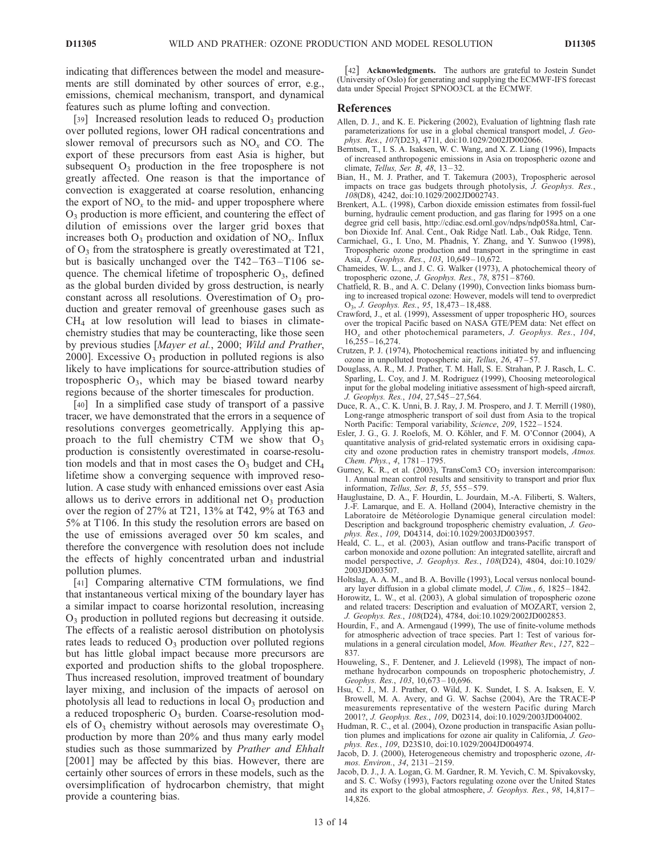indicating that differences between the model and measurements are still dominated by other sources of error, e.g., emissions, chemical mechanism, transport, and dynamical features such as plume lofting and convection.

[39] Increased resolution leads to reduced  $O_3$  production over polluted regions, lower OH radical concentrations and slower removal of precursors such as  $NO<sub>x</sub>$  and CO. The export of these precursors from east Asia is higher, but subsequent  $O_3$  production in the free troposphere is not greatly affected. One reason is that the importance of convection is exaggerated at coarse resolution, enhancing the export of  $NO<sub>x</sub>$  to the mid- and upper troposphere where  $O<sub>3</sub>$  production is more efficient, and countering the effect of dilution of emissions over the larger grid boxes that increases both  $O_3$  production and oxidation of NO<sub>x</sub>. Influx of O3 from the stratosphere is greatly overestimated at T21, but is basically unchanged over the  $T42 - T63 - T106$  sequence. The chemical lifetime of tropospheric  $O_3$ , defined as the global burden divided by gross destruction, is nearly constant across all resolutions. Overestimation of  $O<sub>3</sub>$  production and greater removal of greenhouse gases such as  $CH<sub>4</sub>$  at low resolution will lead to biases in climatechemistry studies that may be counteracting, like those seen by previous studies [Mayer et al., 2000; Wild and Prather, 2000]. Excessive  $O_3$  production in polluted regions is also likely to have implications for source-attribution studies of tropospheric  $O_3$ , which may be biased toward nearby regions because of the shorter timescales for production.

[40] In a simplified case study of transport of a passive tracer, we have demonstrated that the errors in a sequence of resolutions converges geometrically. Applying this approach to the full chemistry CTM we show that  $O_3$ production is consistently overestimated in coarse-resolution models and that in most cases the  $O<sub>3</sub>$  budget and CH<sub>4</sub> lifetime show a converging sequence with improved resolution. A case study with enhanced emissions over east Asia allows us to derive errors in additional net  $O_3$  production over the region of 27% at T21, 13% at T42, 9% at T63 and 5% at T106. In this study the resolution errors are based on the use of emissions averaged over 50 km scales, and therefore the convergence with resolution does not include the effects of highly concentrated urban and industrial pollution plumes.

[41] Comparing alternative CTM formulations, we find that instantaneous vertical mixing of the boundary layer has a similar impact to coarse horizontal resolution, increasing O3 production in polluted regions but decreasing it outside. The effects of a realistic aerosol distribution on photolysis rates leads to reduced  $O<sub>3</sub>$  production over polluted regions but has little global impact because more precursors are exported and production shifts to the global troposphere. Thus increased resolution, improved treatment of boundary layer mixing, and inclusion of the impacts of aerosol on photolysis all lead to reductions in local  $O_3$  production and a reduced tropospheric  $O<sub>3</sub>$  burden. Coarse-resolution models of  $O_3$  chemistry without aerosols may overestimate  $O_3$ production by more than 20% and thus many early model studies such as those summarized by Prather and Ehhalt [2001] may be affected by this bias. However, there are certainly other sources of errors in these models, such as the oversimplification of hydrocarbon chemistry, that might provide a countering bias.

[42] **Acknowledgments.** The authors are grateful to Jostein Sundet (University of Oslo) for generating and supplying the ECMWF-IFS forecast data under Special Project SPNOO3CL at the ECMWF.

#### References

- Allen, D. J., and K. E. Pickering (2002), Evaluation of lightning flash rate parameterizations for use in a global chemical transport model, J. Geophys. Res., 107(D23), 4711, doi:10.1029/2002JD002066.
- Berntsen, T., I. S. A. Isaksen, W. C. Wang, and X. Z. Liang (1996), Impacts of increased anthropogenic emissions in Asia on tropospheric ozone and climate, *Tellus*, *Ser. B*, 48, 13-32.
- Bian, H., M. J. Prather, and T. Takemura (2003), Tropospheric aerosol impacts on trace gas budgets through photolysis, J. Geophys. Res., 108(D8), 4242, doi:10.1029/2002JD002743.
- Brenkert, A.L. (1998), Carbon dioxide emission estimates from fossil-fuel burning, hydraulic cement production, and gas flaring for 1995 on a one degree grid cell basis, http://cdiac.esd.ornl.gov/ndps/ndp058a.html, Carbon Dioxide Inf. Anal. Cent., Oak Ridge Natl. Lab., Oak Ridge, Tenn.
- Carmichael, G., I. Uno, M. Phadnis, Y. Zhang, and Y. Sunwoo (1998), Tropospheric ozone production and transport in the springtime in east Asia, J. Geophys. Res., 103, 10,649 – 10,672.
- Chameides, W. L., and J. C. G. Walker (1973), A photochemical theory of tropospheric ozone, J. Geophys. Res., 78, 8751-8760.
- Chatfield, R. B., and A. C. Delany (1990), Convection links biomass burning to increased tropical ozone: However, models will tend to overpredict O3, J. Geophys. Res., 95, 18,473 – 18,488.
- Crawford, J., et al. (1999), Assessment of upper tropospheric  $HO_x$  sources over the tropical Pacific based on NASA GTE/PEM data: Net effect on  $HO<sub>x</sub>$  and other photochemical parameters, J. Geophys. Res., 104, 16,255 – 16,274.
- Crutzen, P. J. (1974), Photochemical reactions initiated by and influencing ozone in unpolluted tropospheric air, Tellus, 26, 47 – 57.
- Douglass, A. R., M. J. Prather, T. M. Hall, S. E. Strahan, P. J. Rasch, L. C. Sparling, L. Coy, and J. M. Rodriguez (1999), Choosing meteorological input for the global modeling initiative assessment of high-speed aircraft, J. Geophys. Res., 104, 27,545 – 27,564.
- Duce, R. A., C. K. Unni, B. J. Ray, J. M. Prospero, and J. T. Merrill (1980), Long-range atmospheric transport of soil dust from Asia to the tropical North Pacific: Temporal variability, Science, 209, 1522-1524.
- Esler, J. G., G. J. Roelofs, M. O. Köhler, and F. M. O'Connor (2004), A quantitative analysis of grid-related systematic errors in oxidising capacity and ozone production rates in chemistry transport models, Atmos. Chem. Phys., 4, 1781-1795.
- Gurney, K. R., et al. (2003), TransCom3  $CO<sub>2</sub>$  inversion intercomparison: 1. Annual mean control results and sensitivity to transport and prior flux information, Tellus, Ser. B, 55, 555 – 579.
- Hauglustaine, D. A., F. Hourdin, L. Jourdain, M.-A. Filiberti, S. Walters, J.-F. Lamarque, and E. A. Holland (2004), Interactive chemistry in the Laboratoire de Météorologie Dynamique general circulation model: Description and background tropospheric chemistry evaluation, J. Geophys. Res., 109, D04314, doi:10.1029/2003JD003957.
- Heald, C. L., et al. (2003), Asian outflow and trans-Pacific transport of carbon monoxide and ozone pollution: An integrated satellite, aircraft and model perspective, J. Geophys. Res., 108(D24), 4804, doi:10.1029/ 2003JD003507.
- Holtslag, A. A. M., and B. A. Boville (1993), Local versus nonlocal boundary layer diffusion in a global climate model, J. Clim., 6, 1825 – 1842.
- Horowitz, L. W., et al. (2003), A global simulation of tropospheric ozone and related tracers: Description and evaluation of MOZART, version 2, J. Geophys. Res., 108(D24), 4784, doi:10.1029/2002JD002853.
- Hourdin, F., and A. Armengaud (1999), The use of finite-volume methods for atmospheric advection of trace species. Part 1: Test of various formulations in a general circulation model, Mon. Weather Rev., 127, 822 – 837.
- Houweling, S., F. Dentener, and J. Lelieveld (1998), The impact of nonmethane hydrocarbon compounds on tropospheric photochemistry, J. Geophys. Res., 103, 10,673 – 10,696.
- Hsu, C. J., M. J. Prather, O. Wild, J. K. Sundet, I. S. A. Isaksen, E. V. Browell, M. A. Avery, and G. W. Sachse (2004), Are the TRACE-P measurements representative of the western Pacific during March 2001?, J. Geophys. Res., 109, D02314, doi:10.1029/2003JD004002.
- Hudman, R. C., et al. (2004), Ozone production in transpacific Asian pollution plumes and implications for ozone air quality in California, J. Geophys. Res., 109, D23S10, doi:10.1029/2004JD004974.
- Jacob, D. J. (2000), Heterogeneous chemistry and tropospheric ozone, Atmos. Environ., 34, 2131 – 2159.
- Jacob, D. J., J. A. Logan, G. M. Gardner, R. M. Yevich, C. M. Spivakovsky, and S. C. Wofsy (1993), Factors regulating ozone over the United States and its export to the global atmosphere, J. Geophys. Res., 98, 14,817-14,826.